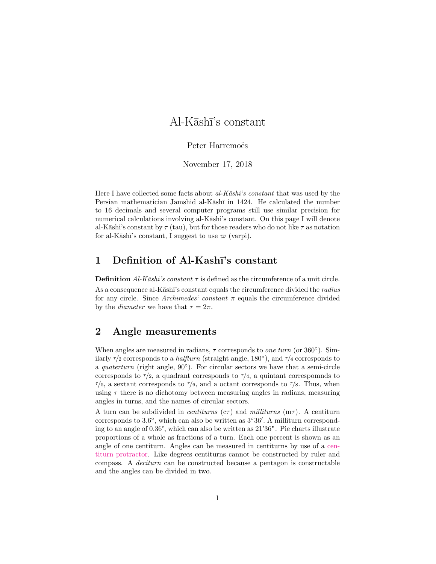# $Al-K\bar{a}sh\bar{l}$ 's constant

### Peter Harremoës

November 17, 2018

Here I have collected some facts about  $al-K\bar{a}shi's constant$  that was used by the Persian mathematician Jamshid al-Kāshī in 1424. He calculated the number to 16 decimals and several computer programs still use similar precision for numerical calculations involving al-Kāshi's constant. On this page I will denote al-Kāshi's constant by  $\tau$  (tau), but for those readers who do not like  $\tau$  as notation for al-Kāshī's constant, I suggest to use  $\varpi$  (varpi).

# 1 Definition of Al-Kashī's constant

**Definition** Al-K $\bar{a}$ shi's constant  $\tau$  is defined as the circumference of a unit circle.

As a consequence al-Kāshī's constant equals the circumference divided the radius for any circle. Since Archimedes' constant  $\pi$  equals the circumference divided by the *diameter* we have that  $\tau = 2\pi$ .

## 2 Angle measurements

When angles are measured in radians,  $\tau$  corresponds to one turn (or 360 $^{\circ}$ ). Similarly  $\tau$ /2 corresponds to a *halfturn* (straight angle, 180 $\degree$ ), and  $\tau$ /4 corresponds to a quaterturn (right angle,  $90^{\circ}$ ). For circular sectors we have that a semi-circle corresponds to  $\tau/2$ , a quadrant corresponds to  $\tau/4$ , a quintant corresponds to  $\tau/5$ , a sextant corresponds to  $\tau/6$ , and a octant corresponds to  $\tau/8$ . Thus, when using  $\tau$  there is no dichotomy between measuring angles in radians, measuring angles in turns, and the names of circular sectors.

A turn can be subdivided in *centiturns* ( $c\tau$ ) and *milliturns* ( $m\tau$ ). A centiturn corresponds to  $3.6^{\circ}$ , which can also be written as  $3^{\circ}36'$ . A milliturn corresponding to an angle of 0.36°, which can also be written as 21'36". Pie charts illustrate proportions of a whole as fractions of a turn. Each one percent is shown as an angle of one centiturn. Angles can be measured in centiturns by use of a [cen](http://www.harremoes.dk/Peter/centitunprotractor.pdf)[titurn protractor.](http://www.harremoes.dk/Peter/centitunprotractor.pdf) Like degrees centiturns cannot be constructed by ruler and compass. A deciturn can be constructed because a pentagon is constructable and the angles can be divided in two.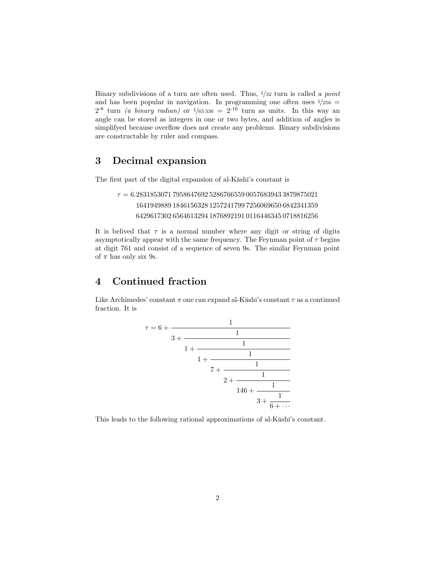Binary subdivisions of a turn are often used. Thus,  $\frac{1}{32}$  turn is called a *point* and has been popular in navigation. In programming one often uses  $\frac{1}{256}$  =  $2^{-8}$  turn *(a binary radian)* or  $1/65336 = 2^{-16}$  turn as units. In this way an angle can be stored as integers in one or two bytes, and addition of angles is simplifyed because overflow does not create any problems. Binary subdivisions are constructable by ruler and compass.

# 3 Decimal expansion

The first part of the digital expansion of al-Kashī's constant is

```
\tau = 6.283185307179586476925286766559005768394338798750211641949889 1846156328 1257241799 7256069650 6842341359
     6429617302 6564613294 1876892191 0116446345 0718816256
```
It is belived that  $\tau$  is a normal number where any digit or string of digits asymptotically appear with the same frequency. The Feynman point of  $\tau$  begins at digit 761 and consist of a sequence of seven 9s. The similar Feynman point of  $\pi$  has only six 9s.

# 4 Continued fraction

Like Archimedes' constant  $\pi$  one can expand al-Kāshī's constant  $\tau$  as a continued fraction. It is



This leads to the following rational approximations of al-Kashī's constant.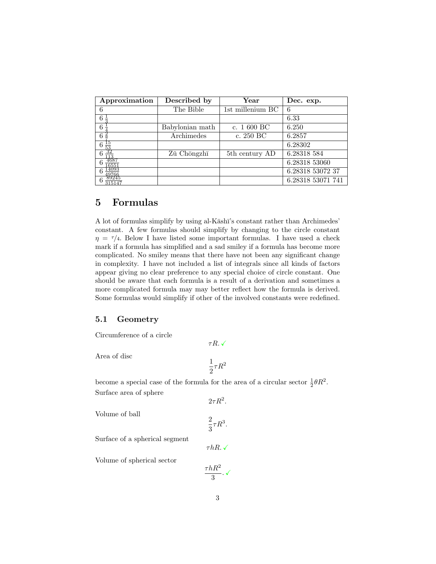| Approximation              | Described by    | $\operatorname{Year}$      | Dec. exp.         |
|----------------------------|-----------------|----------------------------|-------------------|
| 6                          | The Bible       | 1st millenium BC           | 6                 |
| 6                          |                 |                            | 6.33              |
| 6                          | Babylonian math | c. $1600 BC$               | 6.250             |
| 6                          | Archimedes      | c. 250 BC                  | 6.2857            |
| $\frac{6\frac{15}{53}}{6}$ |                 |                            | 6.28302           |
| 6                          | Zǔ Chōngzhī     | 5 <sup>th</sup> century AD | 6.28318 584       |
| 4687<br>655                |                 |                            | 6.28318 53060     |
| 14095<br>6<br>49766        |                 |                            | 6.28318 53072 37  |
| 89245<br>6<br>315147       |                 |                            | 6.28318 53071 741 |

# 5 Formulas

A lot of formulas simplify by using al-K $\bar{a}$ sh $\bar{a}$ 's constant rather than Archimedes' constant. A few formulas should simplify by changing to the circle constant  $\eta = \tau/4$ . Below I have listed some important formulas. I have used a check mark if a formula has simplified and a sad smiley if a formula has become more complicated. No smiley means that there have not been any significant change in complexity. I have not included a list of integrals since all kinds of factors appear giving no clear preference to any special choice of circle constant. One should be aware that each formula is a result of a derivation and sometimes a more complicated formula may may better reflect how the formula is derived. Some formulas would simplify if other of the involved constants were redefined.

#### 5.1 Geometry

Circumference of a circle

Area of disc

$$
\frac{1}{2}\tau R^2
$$

 $\tau R$ .  $\checkmark$ 

become a special case of the formula for the area of a circular sector  $\frac{1}{2}\theta R^2$ . Surface area of sphere

Volume of ball

$$
\frac{2}{3}\tau R^3
$$

 $\tau hR.$   $\checkmark$ 

.

 $2\tau R^2$ .

Surface of a spherical segment

Volume of spherical sector

$$
\frac{\tau hR^2}{3}.\checkmark
$$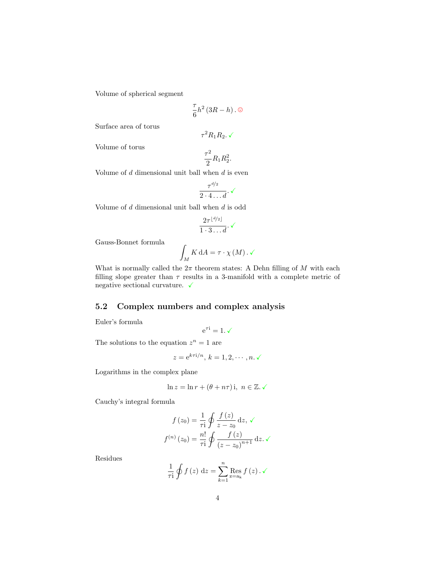Volume of spherical segment

$$
\frac{\tau}{6}h^2\left(3R-h\right).\odot
$$

Surface area of torus

$$
\tau^2 R_1 R_2.\checkmark
$$

Volume of torus

$$
\frac{\tau^2}{2}R_1R_2^2.
$$

Volume of  $d$  dimensional unit ball when  $d$  is even

$$
\frac{\tau^{d/2}}{2\cdot 4\ldots d}\cdot \checkmark
$$

Volume of  $d$  dimensional unit ball when  $d$  is odd

$$
\frac{2\tau^{\lfloor d/2 \rfloor}}{1 \cdot 3 \dots d} \cdot \checkmark
$$

Gauss-Bonnet formula

$$
\int_M K \, \mathrm{d}A = \tau \cdot \chi \left( M \right) . \sqrt{}
$$

What is normally called the  $2\pi$  theorem states: A Dehn filling of M with each filling slope greater than  $\tau$  results in a 3-manifold with a complete metric of negative sectional curvature.  $\checkmark$ 

### 5.2 Complex numbers and complex analysis

Euler's formula

$$
e^{\tau i} = 1.\checkmark
$$

The solutions to the equation  $z^n = 1$  are

$$
z = e^{k\tau i/n}, k = 1, 2, \cdots, n. \checkmark
$$

Logarithms in the complex plane

$$
\ln z = \ln r + (\theta + n\tau) \text{ i}, \ n \in \mathbb{Z}. \ \checkmark
$$

Cauchy's integral formula

$$
f(z_0) = \frac{1}{\tau i} \oint \frac{f(z)}{z - z_0} dz, \sqrt{}
$$

$$
f^{(n)}(z_0) = \frac{n!}{\tau i} \oint \frac{f(z)}{(z - z_0)^{n+1}} dz. \sqrt{}
$$

Residues

$$
\frac{1}{\tau i} \oint f(z) dz = \sum_{k=1}^{n} \underset{z=a_k}{\text{Res }} f(z) . \checkmark
$$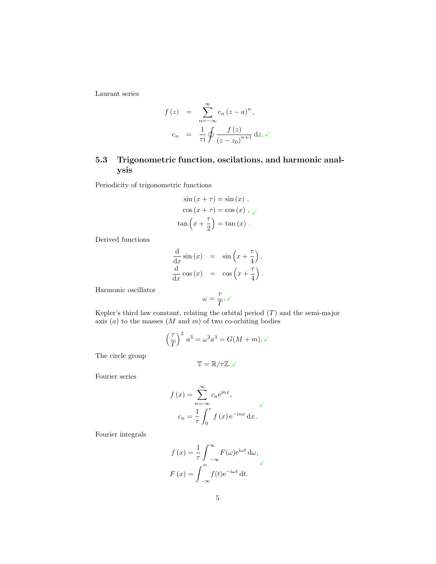Laurant series

$$
f(z) = \sum_{n=-\infty}^{\infty} c_n (z - a)^n,
$$
  

$$
c_n = \frac{1}{\tau i} \oint \frac{f(z)}{(z - z_0)^{n+1}} dz. \checkmark
$$

## 5.3 Trigonometric function, oscilations, and harmonic analysis

Periodicity of trigonometric functions

$$
\sin (x + \tau) = \sin (x) ,
$$

$$
\cos (x + \tau) = \cos (x) , \sqrt{\tan (x + \frac{\tau}{2})} = \tan (x) .
$$

Derived functions

$$
\frac{\mathrm{d}}{\mathrm{d}x}\sin(x) = \sin\left(x + \frac{\tau}{4}\right),\n\frac{\mathrm{d}}{\mathrm{d}x}\cos(x) = \cos\left(x + \frac{\tau}{4}\right).
$$

Harmonic oscillator

$$
\omega=\frac{\tau}{T}.\,\checkmark
$$

Kepler's third law constant, relating the orbital period  $(T)$  and the semi-major axis  $(a)$  to the masses  $(M \text{ and } m)$  of two co-orbiting bodies

$$
\left(\frac{\tau}{T}\right)^2 a^3 = \omega^2 a^3 = G(M+m).\sqrt{}
$$

The circle group

$$
\mathbb{T} = \mathbb{R}/\tau\mathbb{Z}.\checkmark
$$

Fourier series

$$
f(x) = \sum_{n = -\infty}^{\infty} c_n e^{inx},
$$
  

$$
c_n = \frac{1}{\tau} \int_0^{\tau} f(x) e^{-inx} dx.
$$

Fourier integrals

$$
f(x) = \frac{1}{\tau} \int_{-\infty}^{\infty} F(\omega) e^{i\omega t} d\omega,
$$
  

$$
F(x) = \int_{-\infty}^{\infty} f(t) e^{-i\omega t} dt.
$$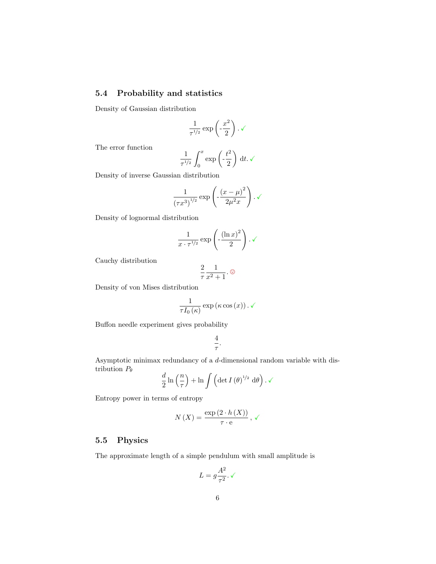# 5.4 Probability and statistics

Density of Gaussian distribution

$$
\frac{1}{\tau^{1/2}}\exp\left(-\frac{x^2}{2}\right).\checkmark
$$

The error function

$$
\frac{1}{\tau^{1/2}} \int_0^x \exp\left(-\frac{t^2}{2}\right) dt. \checkmark
$$

Density of inverse Gaussian distribution

$$
\frac{1}{\left(\tau x^3\right)^{1/2}} \exp\left(-\frac{\left(x-\mu\right)^2}{2\mu^2 x}\right).
$$

Density of lognormal distribution

$$
\frac{1}{x \cdot \tau^{1/2}} \exp \left(-\frac{\left(\ln x\right)^2}{2}\right) \cdot \sqrt{\frac{1}{x}}
$$

Cauchy distribution

$$
\frac{2}{\tau} \frac{1}{x^2 + 1}.
$$

Density of von Mises distribution

$$
\frac{1}{\tau I_0(\kappa)} \exp\left(\kappa \cos(x)\right) . \checkmark
$$

Buffon needle experiment gives probability

$$
\frac{4}{\tau}.
$$

Asymptotic minimax redundancy of a d-dimensional random variable with distribution  $P_{\theta}$ 

$$
\frac{d}{2}\ln\left(\frac{n}{\tau}\right) + \ln\int\left(\det I\left(\theta\right)^{1/2} d\theta\right) . \sqrt{\tau}.
$$

Entropy power in terms of entropy

$$
N(X) = \frac{\exp(2 \cdot h(X))}{\tau \cdot e}, \checkmark
$$

### 5.5 Physics

The approximate length of a simple pendulum with small amplitude is

$$
L=g\frac{A^2}{\tau^2}.\,\checkmark
$$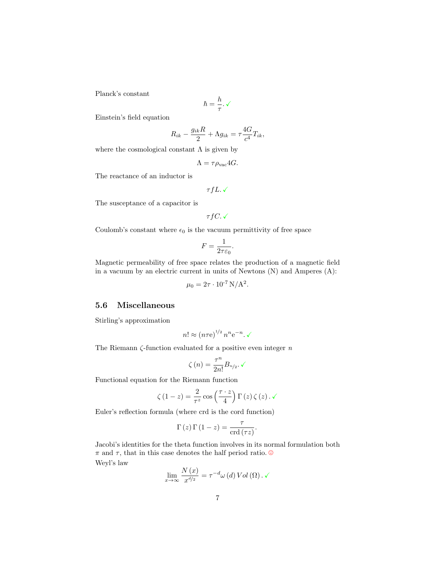Planck's constant

$$
\hbar=\frac{h}{\tau}.\,\checkmark
$$

Einstein's field equation

$$
R_{ik}-\frac{g_{ik}R}{2}+\Lambda g_{ik}=\tau\frac{4G}{c^4}T_{ik},
$$

where the cosmological constant  $\Lambda$  is given by

$$
\Lambda = \tau \rho_{\rm vac} 4G.
$$

The reactance of an inductor is

 $\tau fL.\checkmark$ 

The susceptance of a capacitor is

$$
\tau fC.\checkmark
$$

Coulomb's constant where  $\epsilon_0$  is the vacuum permittivity of free space

$$
F = \frac{1}{2\tau\varepsilon_0}.
$$

Magnetic permeability of free space relates the production of a magnetic field in a vacuum by an electric current in units of Newtons (N) and Amperes (A):

$$
\mu_0 = 2\tau \cdot 10^{-7} \,\mathrm{N/A^2}.
$$

### 5.6 Miscellaneous

Stirling's approximation

$$
n! \approx (n\tau e)^{1/2} n^n e^{-n}.\checkmark
$$

The Riemann  $\zeta$ -function evaluated for a positive even integer  $n$ 

$$
\zeta(n) = \frac{\tau^n}{2n!} B_{n/2}. \checkmark
$$

Functional equation for the Riemann function

$$
\zeta(1-z) = \frac{2}{\tau^z} \cos\left(\frac{\tau \cdot z}{4}\right) \Gamma(z) \zeta(z) . \sqrt{ }
$$

Euler's reflection formula (where crd is the cord function)

$$
\Gamma(z)\Gamma(1-z) = \frac{\tau}{\operatorname{crd}(\tau z)}.
$$

Jacobi's identities for the theta function involves in its normal formulation both  $\pi$  and  $\tau$ , that in this case denotes the half period ratio.  $\circledcirc$ Weyl's law

$$
\lim_{x \to \infty} \frac{N(x)}{x^{d/2}} = \tau^{-d} \omega(d) \operatorname{Vol}(\Omega) . \checkmark
$$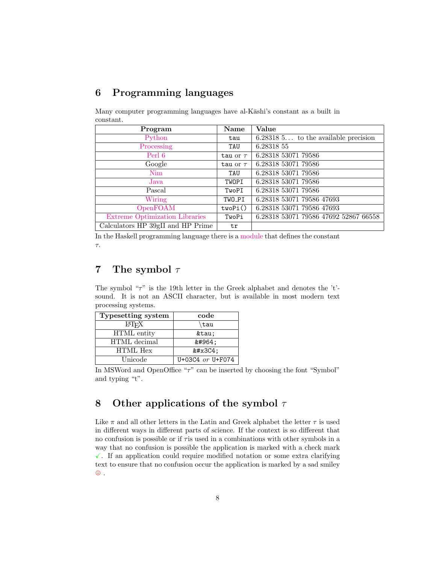# 6 Programming languages

Many computer programming languages have al-Kāshi's constant as a built in constant.

| Program                           | Name          | Value                                   |
|-----------------------------------|---------------|-----------------------------------------|
| Python                            | tau           | $6.28318\,5$ to the available precision |
| Processing                        | TAU           | 6.28318 55                              |
| Perl 6                            | tau or $\tau$ | 6.28318 53071 79586                     |
| Google                            | tau or $\tau$ | 6.28318 53071 79586                     |
| Nim                               | TAU           | 6.28318 53071 79586                     |
| Java                              | TWOPI         | 6.28318 53071 79586                     |
| Pascal                            | TwoPI         | 6.28318 53071 79586                     |
| Wiring                            | TWO_PI        | 6.28318 53071 79586 47693               |
| OpenFOAM                          | twoPi()       | 6.28318 53071 79586 47693               |
| Extreme Optimization Libraries    | TwoPi         | 6.28318 53071 79586 47692 52867 66558   |
| Calculators HP 39gII and HP Prime | tr            |                                         |

In the Haskell programming language there is a [module](http://hackage.haskell.org/package/tau) that defines the constant τ.

# 7 The symbol  $\tau$

The symbol "τ" is the 19th letter in the Greek alphabet and denotes the 't' sound. It is not an ASCII character, but is available in most modern text processing systems.

| Typesetting system      | code             |  |
|-------------------------|------------------|--|
| <b>IAT<sub>F</sub>X</b> | tau              |  |
| HTML entity             | τ                |  |
| HTML decimal            | τ                |  |
| <b>HTML</b> Hex         | $&$ #x3C4;       |  |
| Unicode                 | U+03C4 or U+F074 |  |

In MSWord and OpenOffice " $\tau$ " can be inserted by choosing the font "Symbol" and typing "t".

# 8 Other applications of the symbol  $\tau$

Like  $\pi$  and all other letters in the Latin and Greek alphabet the letter  $\tau$  is used in different ways in different parts of science. If the context is so different that no confusion is possible or if  $\tau$  is used in a combinations with other symbols in a way that no confusion is possible the application is marked with a check mark  $\checkmark$ . If an application could require modified notation or some extra clarifying text to ensure that no confusion occur the application is marked by a sad smiley  $\odot$  .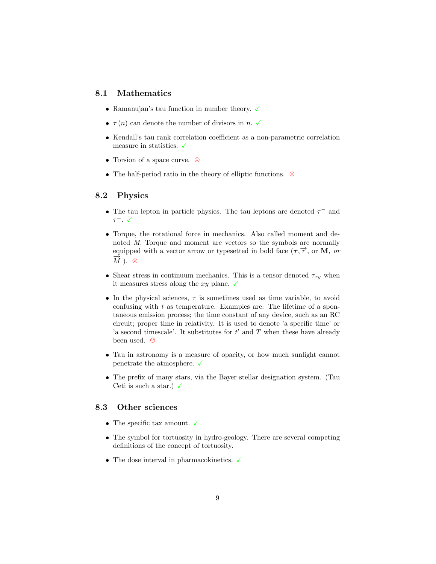### 8.1 Mathematics

- $\bullet\,$  Ramanujan's tau function in number theory.  $\checkmark$
- $\tau(n)$  can denote the number of divisors in n.  $\checkmark$
- Kendall's tau rank correlation coefficient as a non-parametric correlation measure in statistics.  $\checkmark$
- Torsion of a space curve.  $\circledcirc$
- $\bullet\,$  The half-period ratio in the theory of elliptic functions.  $\,\circ\,$

#### 8.2 Physics

- The tau lepton in particle physics. The tau leptons are denoted  $\tau^-$  and  $\tau^+$ .  $\checkmark$
- Torque, the rotational force in mechanics. Also called moment and denoted M. Torque and moment are vectors so the symbols are normally equipped with a vector arrow or typesetted in bold face  $(\tau, \overrightarrow{\tau})$ , or **M**, or  $\overline{M}$  ).  $\odot$
- Shear stress in continuum mechanics. This is a tensor denoted  $\tau_{xy}$  when it measures stress along the xy plane.  $\checkmark$
- In the physical sciences,  $\tau$  is sometimes used as time variable, to avoid confusing with  $t$  as temperature. Examples are: The lifetime of a spontaneous emission process; the time constant of any device, such as an RC circuit; proper time in relativity. It is used to denote 'a specific time' or 'a second timescale'. It substitutes for  $t'$  and  $T$  when these have already been used.  $\odot$
- Tau in astronomy is a measure of opacity, or how much sunlight cannot penetrate the atmosphere.  $\checkmark$
- The prefix of many stars, via the Bayer stellar designation system. (Tau Ceti is such a star.)  $\checkmark$

### 8.3 Other sciences

- $\bullet\,$  The specific tax amount.  $\checkmark$
- The symbol for tortuosity in hydro-geology. There are several competing definitions of the concept of tortuosity.
- $\bullet\,$  The dose interval in pharmacokinetics.  $\checkmark$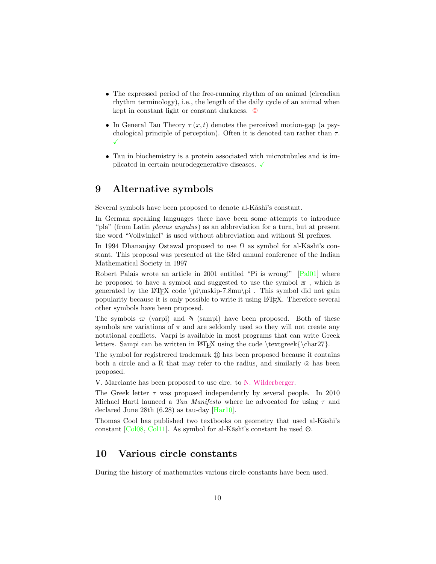- The expressed period of the free-running rhythm of an animal (circadian rhythm terminology), i.e., the length of the daily cycle of an animal when kept in constant light or constant darkness.  $\odot$
- In General Tau Theory  $\tau(x,t)$  denotes the perceived motion-gap (a psychological principle of perception). Often it is denoted tau rather than  $\tau$ .  $\checkmark$
- Tau in biochemistry is a protein associated with microtubules and is implicated in certain neurodegenerative diseases.  $\checkmark$

## 9 Alternative symbols

Several symbols have been proposed to denote al-K $\bar{a}$ sh $\bar{a}$ 's constant.

In German speaking languages there have been some attempts to introduce "pla" (from Latin plenus angulus) as an abbreviation for a turn, but at present the word "Vollwinkel" is used without abbreviation and without SI prefixes.

In 1994 Dhananjay Ostawal proposed to use  $\Omega$  as symbol for al-K $\bar{a}$ sh $\bar{a}$ 's constant. This proposal was presented at the 63rd annual conference of the Indian Mathematical Society in 1997

Robert Palais wrote an article in 2001 entitled "Pi is wrong!" [\[Pal01\]](#page-13-0) where he proposed to have a symbol and suggested to use the symbol  $\pi$ , which is generated by the LATEX code  $\pi\sim\pi$ .8mu\pi . This symbol did not gain popularity because it is only possible to write it using LATEX. Therefore several other symbols have been proposed.

The symbols  $\varpi$  (varpi) and  $\lambda$  (sampi) have been proposed. Both of these symbols are variations of  $\pi$  and are seldomly used so they will not create any notational conflicts. Varpi is available in most programs that can write Greek letters. Sampi can be written in LAT<sub>EX</sub> using the code  $\text{ceck}(\char 27)$ .

The symbol for registrered trademark  $\mathbb R$  has been proposed because it contains both a circle and a R that may refer to the radius, and similarly  $\odot$  has been proposed.

V. Marciante has been proposed to use circ. to [N. Wilderberger.](https://www.youtube.com/watch?v=NboydwaYaaQ)

The Greek letter  $\tau$  was proposed independently by several people. In 2010 Michael Hartl launced a Tau Manifesto where he advocated for using  $\tau$  and declared June 28th (6.28) as tau-day [\[Har10\]](#page-13-1).

Thomas Cool has published two textbooks on geometry that used al-K $\bar{a}$ sh $\bar{a}$ 's constant [\[Col08,](#page-12-0) [Col11\]](#page-13-2). As symbol for al-Kāshī's constant he used  $\Theta$ .

## 10 Various circle constants

During the history of mathematics various circle constants have been used.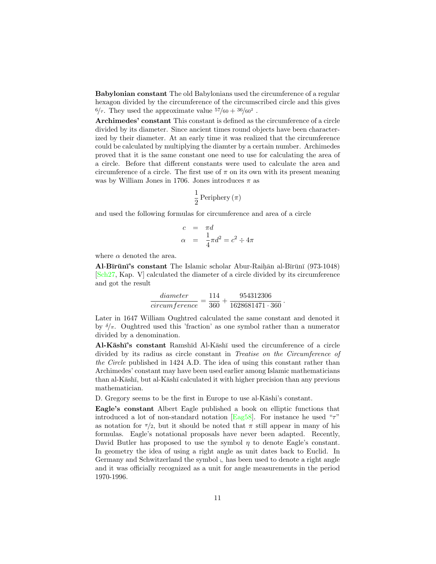Babylonian constant The old Babylonians used the circumference of a regular hexagon divided by the circumference of the circumscribed circle and this gives  $6/\tau$ . They used the approximate value  $57/60 + 36/60^2$ .

Archimedes' constant This constant is defined as the circumference of a circle divided by its diameter. Since ancient times round objects have been characterized by their diameter. At an early time it was realized that the circumference could be calculated by multiplying the diamter by a certain number. Archimedes proved that it is the same constant one need to use for calculating the area of a circle. Before that different constants were used to calculate the area and circumference of a circle. The first use of  $\pi$  on its own with its present meaning was by William Jones in 1706. Jones introduces  $\pi$  as

$$
\frac{1}{2}\,\mathrm{Periphery}\,(\pi)
$$

and used the following formulas for circumference and area of a circle

$$
\begin{array}{rcl}\nc &=& \pi d \\
\alpha &=& \frac{1}{4}\pi d^2 = c^2 \div 4\pi\n\end{array}
$$

where  $\alpha$  denoted the area.

Al-Bīrūnī's constant The Islamic scholar Abur-Raihān al-Bīrūnī (973-1048) [\[Sch27,](#page-13-3) Kap. V] calculated the diameter of a circle divided by its circumference and got the result

$$
\frac{diameter}{circmerence} = \frac{114}{360} + \frac{954312306}{1628681471 \cdot 360}
$$

.

Later in 1647 William Oughtred calculated the same constant and denoted it by  $\delta/\pi$ . Oughtred used this 'fraction' as one symbol rather than a numerator divided by a denomination.

Al-Kāshī's constant Ramshīd Al-Kāshī used the circumference of a circle divided by its radius as circle constant in *Treatise on the Circumference of* the Circle published in 1424 A.D. The idea of using this constant rather than Archimedes' constant may have been used earlier among Islamic mathematicians than al-K $\bar{a}$ sh $\bar{a}$ , but al-K $\bar{a}$ sh $\bar{a}$  calculated it with higher precision than any previous mathematician.

D. Gregory seems to be the first in Europe to use al-K $\bar{a}$ shi's constant.

Eagle's constant Albert Eagle published a book on elliptic functions that introduced a lot of non-standard notation [\[Eag58\]](#page-13-4). For instance he used " $\tau$ " as notation for  $\pi/2$ , but it should be noted that  $\pi$  still appear in many of his formulas. Eagle's notational proposals have never been adapted. Recently, David Butler has proposed to use the symbol  $\eta$  to denote Eagle's constant. In geometry the idea of using a right angle as unit dates back to Euclid. In Germany and Schwitzerland the symbol  $\mathcal{L}$  has been used to denote a right angle and it was officially recognized as a unit for angle measurements in the period 1970-1996.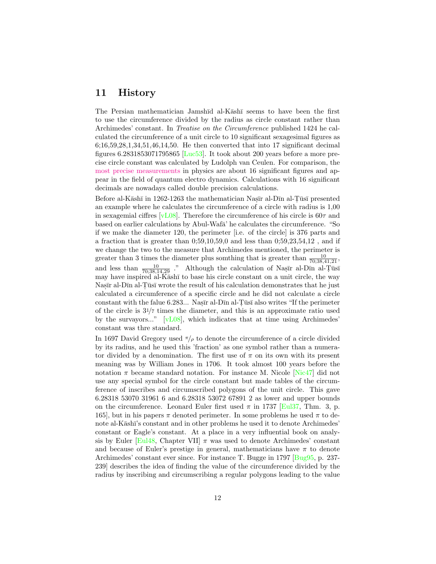## 11 History

The Persian mathematician Jamshīd al-Kāshī seems to have been the first to use the circumference divided by the radius as circle constant rather than Archimedes' constant. In Treatise on the Circumference published 1424 he calculated the circumference of a unit circle to 10 significant sexagesimal figures as 6;16,59,28,1,34,51,46,14,50. He then converted that into 17 significant decimal figures 6.2831853071795865 [\[Luc53\]](#page-13-5). It took about 200 years before a more precise circle constant was calculated by Ludolph van Ceulen. For comparison, the [most precise measurements](http://scienceblogs.com/principles/2011/05/05/the-most-precisely-tested-theo/) in physics are about 16 significant figures and appear in the field of quantum electro dynamics. Calculations with 16 significant decimals are nowadays called double precision calculations.

Before al-Kāshī in 1262-1263 the mathematician Nasīr al-Dīn al-Tūsī presented an example where he calculates the circumference of a circle with radius is 1,00 in sexagemial ciffres  $[vL08]$ . Therefore the circumference of his circle is  $60\tau$  and based on earlier calculations by Abul-Wafa' he calculates the circumference. "So if we make the diameter 120, the perimeter [i.e. of the circle] is 376 parts and a fraction that is greater than 0;59,10,59,0 and less than 0;59,23,54,12 , and if we change the two to the measure that Archimedes mentioned, the perimeter is greater than 3 times the diameter plus somthing that is greater than  $\frac{10}{70;38,41,21}$ , and less than  $\frac{10}{70;38,14,29}$ ." Although the calculation of Nastrial-Dtin al-Tust may have inspired al-K $\bar{a}$ sh $\bar{a}$  to base his circle constant on a unit circle, the way Nasir al-Dīn al-Tūsī wrote the result of his calculation demonstrates that he just calculated a circumference of a specific circle and he did not calculate a circle constant with the falue  $6.283...$  Naster al-Dtm al-Tust also writes "If the perimeter of the circle is 31/7 times the diameter, and this is an approximate ratio used by the survayors..." [\[vL08\]](#page-13-6), which indicates that at time using Archimedes' constant was thre standard.

In 1697 David Gregory used  $\pi/\rho$  to denote the circumference of a circle divided by its radius, and he used this 'fraction' as one symbol rather than a numerator divided by a denomination. The first use of  $\pi$  on its own with its present meaning was by William Jones in 1706. It took almost 100 years before the notation  $\pi$  became standard notation. For instance M. Nicole [\[Nic47\]](#page-13-7) did not use any special symbol for the circle constant but made tables of the circumference of inscribes and circumscribed polygons of the unit circle. This gave 6.28318 53070 31961 6 and 6.28318 53072 67891 2 as lower and upper bounds on the circumference. Leonard Euler first used  $\pi$  in 1737 [\[Eul37,](#page-13-8) Thm. 3, p. 165, but in his papers  $\pi$  denoted perimeter. In some problems he used  $\pi$  to denote al-Kāshī's constant and in other problems he used it to denote Archimedes' constant or Eagle's constant. At a place in a very influential book on analy-sis by Euler [\[Eul48,](#page-13-9) Chapter VII]  $\pi$  was used to denote Archimedes' constant and because of Euler's prestige in general, mathematicians have  $\pi$  to denote Archimedes' constant ever since. For instance T. Bugge in 1797 [\[Bug95,](#page-12-1) p. 237-239] describes the idea of finding the value of the circumference divided by the radius by inscribing and circumscribing a regular polygons leading to the value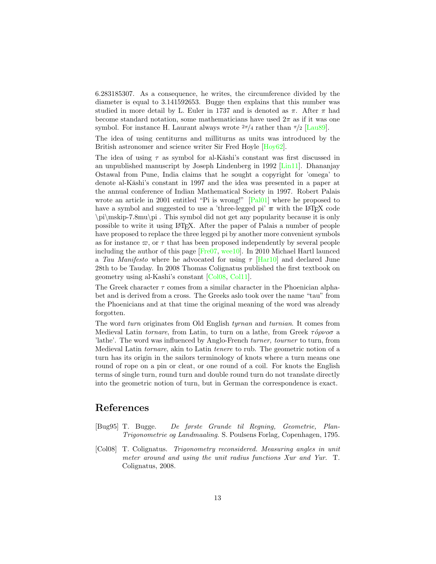6.283185307. As a consequence, he writes, the circumference divided by the diameter is equal to 3.141592653. Bugge then explains that this number was studied in more detail by L. Euler in 1737 and is denoted as  $\pi$ . After  $\pi$  had become standard notation, some mathematicians have used  $2\pi$  as if it was one symbol. For instance H. Laurant always wrote  $2\pi/4$  rather than  $\pi/2$  [\[Lau89\]](#page-13-10).

The idea of using centiturns and milliturns as units was introduced by the British astronomer and science writer Sir Fred Hoyle [\[Hoy62\]](#page-13-11).

The idea of using  $\tau$  as symbol for al-Kāshi's constant was first discussed in an unpublished manuscript by Joseph Lindenberg in 1992 [\[Lin11\]](#page-13-12). Dhananjay Ostawal from Pune, India claims that he sought a copyright for 'omega' to denote al-Kāshi's constant in 1997 and the idea was presented in a paper at the annual conference of Indian Mathematical Society in 1997. Robert Palais wrote an article in 2001 entitled "Pi is wrong!" [\[Pal01\]](#page-13-0) where he proposed to have a symbol and suggested to use a 'three-legged pi'  $\pi$  with the LATEX code \pi\mskip-7.8mu\pi . This symbol did not get any popularity because it is only possible to write it using LATEX. After the paper of Palais a number of people have proposed to replace the three legged pi by another more convenient symbols as for instance  $\varpi$ , or  $\tau$  that has been proposed independently by several people including the author of this page [\[Fre07,](#page-13-13) [wee10\]](#page-13-14). In 2010 Michael Hartl launced a Tau Manifesto where he advocated for using  $\tau$  [\[Har10\]](#page-13-1) and declared June 28th to be Tauday. In 2008 Thomas Colignatus published the first textbook on geometry using al-Kashi's constant [\[Col08,](#page-12-0) [Col11\]](#page-13-2).

The Greek character  $\tau$  comes from a similar character in the Phoenician alphabet and is derived from a cross. The Greeks aslo took over the name "tau" from the Phoenicians and at that time the original meaning of the word was already forgotten.

The word turn originates from Old English tyrnan and turnian. It comes from Medieval Latin *tornare*, from Latin, to turn on a lathe, from Greek  $\tau \acute{o} \rho \nu o \sigma$  a 'lathe'. The word was influenced by Anglo-French turner, tourner to turn, from Medieval Latin tornare, akin to Latin tenere to rub. The geometric notion of a turn has its origin in the sailors terminology of knots where a turn means one round of rope on a pin or cleat, or one round of a coil. For knots the English terms of single turn, round turn and double round turn do not translate directly into the geometric notion of turn, but in German the correspondence is exact.

## References

- <span id="page-12-1"></span>[Bug95] T. Bugge. De første Grunde til Regning, Geometrie, Plan-Trigonometrie og Landmaaling. S. Poulsens Forlag, Copenhagen, 1795.
- <span id="page-12-0"></span>[Col08] T. Colignatus. Trigonometry reconsidered. Measuring angles in unit meter around and using the unit radius functions Xur and Yur. T. Colignatus, 2008.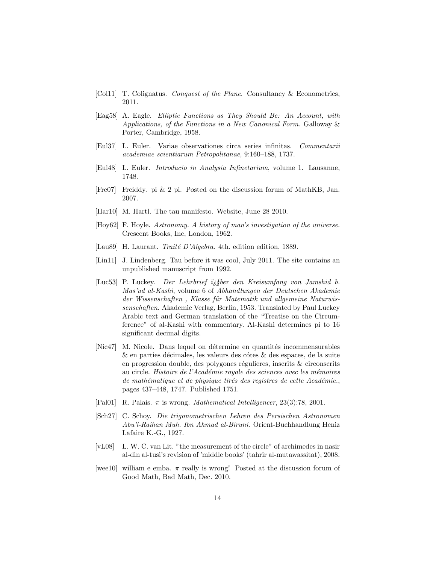- <span id="page-13-2"></span>[Col11] T. Colignatus. Conquest of the Plane. Consultancy & Econometrics, 2011.
- <span id="page-13-4"></span>[Eag58] A. Eagle. Elliptic Functions as They Should Be: An Account, with Applications, of the Functions in a New Canonical Form. Galloway & Porter, Cambridge, 1958.
- <span id="page-13-8"></span>[Eul37] L. Euler. Variae observationes circa series infinitas. Commentarii academiae scientiarum Petropolitanae, 9:160–188, 1737.
- <span id="page-13-9"></span>[Eul48] L. Euler. Introducio in Analysia Infinetarium, volume 1. Lausanne, 1748.
- <span id="page-13-13"></span>[Fre07] Freiddy. pi & 2 pi. Posted on the discussion forum of MathKB, Jan. 2007.
- <span id="page-13-1"></span>[Har10] M. Hartl. The tau manifesto. Website, June 28 2010.
- <span id="page-13-11"></span>[Hoy62] F. Hoyle. Astronomy. A history of man's investigation of the universe. Crescent Books, Inc, London, 1962.
- <span id="page-13-10"></span>[Lau89] H. Laurant. *Traité D'Algebra*. 4th. edition edition, 1889.
- <span id="page-13-12"></span>[Lin11] J. Lindenberg. Tau before it was cool, July 2011. The site contains an unpublished manuscript from 1992.
- <span id="page-13-5"></span>[Luc53] P. Luckey. Der Lehrbrief  $i_{\dot{\theta}}$  gber den Kreisumfang von Jamshid b. Mas'ud al-Kashi, volume 6 of Abhandlungen der Deutschen Akademie der Wissenschaften, Klasse für Matematik und allgemeine Naturwissenschaften. Akademie Verlag, Berlin, 1953. Translated by Paul Luckey Arabic text and German translation of the "Treatise on the Circumference" of al-Kashi with commentary. Al-Kashi determines pi to 16 significant decimal digits.
- <span id="page-13-7"></span>[Nic47] M. Nicole. Dans lequel on détermine en quantités incommensurables  $\&$  en parties décimales, les valeurs des côtes  $\&$  des espaces, de la suite en progression double, des polygones régulieres, inscrits  $&$  circonscrits au circle. Histoire de l'Académie royale des sciences avec les mémoires de mathématique et de physique tirés des registres de cette Académie., pages 437–448, 1747. Published 1751.
- <span id="page-13-0"></span>[Pal01] R. Palais.  $\pi$  is wrong. *Mathematical Intelligencer*, 23(3):78, 2001.
- <span id="page-13-3"></span>[Sch27] C. Schoy. Die trigonometrischen Lehren des Persischen Astronomen Abu'l-Raihan Muh. Ibn Ahmad al-Biruni. Orient-Buchhandlung Heniz Lafaire K.-G., 1927.
- <span id="page-13-6"></span>[vL08] L. W. C. van Lit. "the measurement of the circle" of archimedes in nasir al-din al-tusi's revision of 'middle books' (tahrir al-mutawassitat), 2008.
- <span id="page-13-14"></span>[wee10] william e emba.  $\pi$  really is wrong! Posted at the discussion forum of Good Math, Bad Math, Dec. 2010.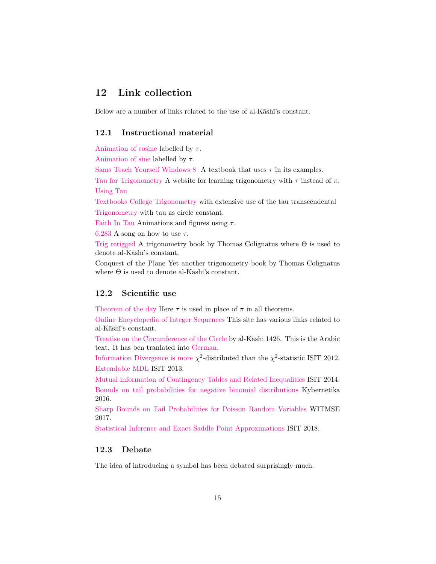## 12 Link collection

Below are a number of links related to the use of al- $K\bar{a}s$ h $\bar{i}$ 's constant.

### 12.1 Instructional material

[Animation of cosine](http://www.math.utah.edu/~palais/cose.html) labelled by  $\tau$ .

[Animation of sine](http://www.math.utah.edu/~palais/sine.html) labelled by  $\tau$ .

[Sams Teach Yourself Windows 8](https://books.google.dk/books?id=BFda3Z71Y5YC&printsec=frontcover&redir_esc=y#v=onepage&q&f=false) A textbook that uses  $\tau$  in its examples.

[Tau for Trigonometry](http://taufortrig.org/) A website for learning trigonometry with  $\tau$  instead of  $\pi$ . [Using Tau](https://www.geogebra.org/m/EhCfdhxB#chapter/42833)

[Textbooks College Trigonometry](http://taufortrig.org/docs/AlgTrigBookprint.pdf) with extensive use of the tau transcendental [Trigonometry](http://taufortrig.org/docs/trigbook.pdf) with tau as circle constant.

[Faith In Tau](http://hitchenssrazor.wordpress.com/2012/02/05/faith-in-tau/) Animations and figures using  $\tau$ .

[6.283](http://www.youtube.com/watch?v=uAFU-K4M9Ck) A song on how to use  $\tau$ .

[Trig rerigged](http://thomascool.eu/Papers/Math/TrigRerigged.pdf) A trigonometry book by Thomas Colignatus where  $\Theta$  is used to denote al-Kāshī's constant.

Conquest of the Plane Yet another trigonometry book by Thomas Colignatus where  $\Theta$  is used to denote al-K $\bar{a}$ sh $\bar{a}$ 's constant.

### 12.2 Scientific use

[Theorem of the day](https://www.theoremoftheday.org) Here  $\tau$  is used in place of  $\pi$  in all theorems.

[Online Encyclopedia of Integer Sequences](https://oeis.org/search?q=6.283&language=english&go=Search) This site has various links related to al-Kāshī's constant.

[Treatise on the Circumference of the Circle](http://www.jphogendijk.nl/arabsci/Luckey-Kreis3.pdf) by al-Kashī 1426. This is the Arabic text. It has ben tranlated into [German.](http://www.jphogendijk.nl/arabsci/Luckey-Kreis1.pdf)

[Information Divergence is more](https://ieeexplore.ieee.org/document/6284247/)  $\chi^2$ -distributed than the  $\chi^2$ -statistic ISIT 2012. [Extendable MDL](https://ieeexplore.ieee.org/document/6620480/) ISIT 2013.

[Mutual information of Contingency Tables and Related Inequalities](https://ieeexplore.ieee.org/document/6875279/) ISIT 2014. [Bounds on tail probabilities for negative binomial distributions](http://www.kybernetika.cz/content/2016/6/943) Kybernetika 2016.

[Sharp Bounds on Tail Probabilities for Poisson Random Variables](https://helda.helsinki.fi/handle/10138/229679) WITMSE 2017.

[Statistical Inference and Exact Saddle Point Approximations](https://arxiv.org/abs/1805.02234) ISIT 2018.

## 12.3 Debate

The idea of introducing a symbol has been debated surprisingly much.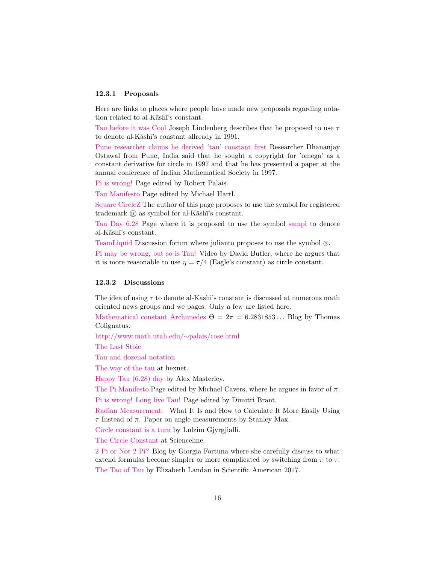#### 12.3.1 Proposals

Here are links to places where people have made new proposals regarding notation related to al-Kāshī's constant.

[Tau before it was Cool](http://sites.google.com/site/taubeforeitwascool) Joseph Lindenberg describes that he proposed to use  $\tau$ to denote al-Kāshī's constant allready in 1991.

[Pune researcher claims he derived 'tau' constant first](http://articles.timesofindia.indiatimes.com/2011-08-08/pune/29863754_1_tau-pi-omega) Researcher Dhananjay Ostawal from Pune, India said that he sought a copyright for 'omega' as a constant derivative for circle in 1997 and that he has presented a paper at the annual conference of Indian Mathematical Society in 1997.

[Pi is wrong!](http://www.math.utah.edu/~palais/pi.html) Page edited by Robert Palais.

[Tau Manifesto](http://www.tauday.com) Page edited by Michael Hartl.

[Square CircleZ](http://www.squarecirclez.com/blog/lets-drop-pi/5665) The author of this page proposes to use the symbol for registered trademark  $\circledR$  as symbol for al-K $\bar{a}$ shī's constant.

[Tau Day 6.28](http://www.benfrevert.org/?p=70) Page where it is proposed to use the symbol [sampi](http://en.wikipedia.org/wiki/Sanpi) to denote al-Kāshī's constant.

[TeamLiquid](http://www.teamliquid.net/forum/viewmessage.php?topic_id=239594¤tpage=5) Discussion forum where julianto proposes to use the symbol  $\circledcirc$ .

[Pi may be wrong, but so is Tau!](http://www.youtube.com/user/DavidButlerAdelaide#p/u/31/1qpVdwizdvI) Video by David Butler, where he argues that it is more reasonable to use  $\eta = \tau/4$  (Eagle's constant) as circle constant.

#### 12.3.2 Discussions

The idea of using  $\tau$  to denote al-Kāshi's constant is discussed at numerous math oriented news groups and we pages. Only a few are listed here.

[Mathematical constant Archimedes](http://boycottholland.wordpress.com/2012/02/18/mathematical-constant-archimedes/)  $\Theta = 2\pi = 6.2831853...$  Blog by Thomas Colignatus.

[http://www.math.utah.edu/](http://www.math.utah.edu/~palais/cose.html)∼palais/cose.html

[The Last Stoic](http://munty13.blogspot.com/2011/03/way-of-tau.html)

[Tau and dozenal notation](http://www.hexnet.org/post/129)

[The way of the tau](http://www.hexnet.org/post/129) at hexnet.

[Happy Tau \(6.28\) day](http://alexmasterley.blogspot.com/2011/06/happy-tau-628-day.html) by Alex Masterley.

[The Pi Manifesto](http://www.thepimanifesto.com/) Page edited by Michael Cavers, where he argues in favor of  $\pi$ .

[Pi is wrong! Long live Tau!](http://dmitrybrant.com/2011/10/16/pi-is-wrong-long-live-tau) Page edited by Dimitri Brant.

[Radian Measurement:](http://www.metricphilatelist.net/TowsonU/course_material/tau/radian_measurement.pdf) What It Is and How to Calculate It More Easily Using τ Instead of π. Paper on angle measurements by Stanley Max.

[Circle constant is a turn](http://www.itisaturn.com/assets/docs/tau.pdf) by Lulzim Gjyrgjialli.

[The Circle Constant](http://scienceline.org/2016/06/the-circle-constant/) at Scienceline.

[2 Pi or Not 2 Pi?](http://blog.wolfram.com/2015/06/28/2-pi-or-not-2-pi/) Blog by Giorgia Fortuna where she carefully discuss to what extend formulas become simpler or more complicated by switching from  $\pi$  to  $\tau$ . [The Tao of Tau](https://blogs.scientificamerican.com/observations/the-tao-of-tau/) by Elizabeth Landau in Scientific American 2017.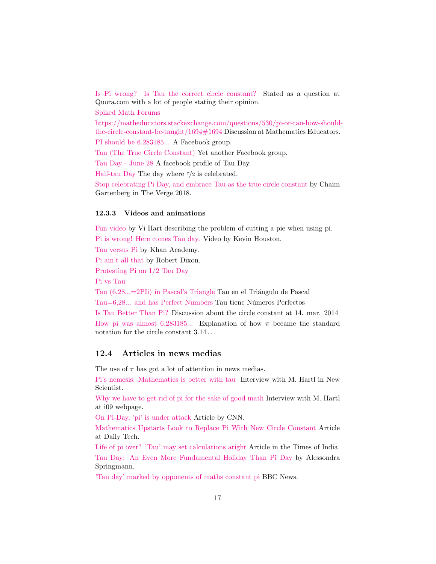[Is Pi wrong? Is Tau the correct circle constant?](http://www.quora.com/Tau) Stated as a question at Quora.com with a lot of people stating their opinion. [Spiked Math Forums](http://spikedmath.com/forum/viewtopic.php?f=30&t=140) [https://matheducators.stackexchange.com/questions/530/pi-or-tau-how-should](http://Pi or Tau? How should the circle constant be taught?)[the-circle-constant-be-taught/1694#1694](http://Pi or Tau? How should the circle constant be taught?) Discussion at Mathematics Educators. [PI should be 6.283185...](http://www.facebook.com/group.php?gid=5664216697#!/group.php?gid=5664216697&v=info) A Facebook group. [Tau \(The True Circle Constant\)](http://www.facebook.com/group.php?gid=27396304365&v=app_2344061033#!/home.php?sk=group_203663899660088&ap=1) Yet another Facebook group. [Tau Day - June 28](https://www.facebook.com/June28TauDay?sk=info#!/June28TauDay?sk=wall) A facebook profile of Tau Day. [Half-tau Day](http://halftauday.com/) The day where  $\tau/2$  is celebrated. [Stop celebrating Pi Day, and embrace Tau as the true circle constant](https://www.theverge.com/tldr/2018/3/14/17119388/pi-day-pie-math-tau-circle-constant-mathematics-circumference-diameter-radius-holiday-truth) by Chaim

Gartenberg in The Verge 2018.

#### 12.3.3 Videos and animations

[Fun video](http://vihart.com/blog/pi-is-still-wrong/) by Vi Hart describing the problem of cutting a pie when using pi.

[Pi is wrong! Here comes Tau day.](http://www.youtube.com/user/DrKevinHouston) Video by Kevin Houston.

[Tau versus Pi](https://www.youtube.com/watch?v=1jDDfkKKgmc) by Khan Academy.

[Pi ain't all that](http://www.youtube.com/watch?v=zC_HGbCCBSI) by Robert Dixon.

[Protesting Pi on 1/2 Tau Day](http://www.youtube.com/watch?v=C_tEsWNcb_w)

[Pi vs Tau](https://www.youtube.com/watch?v=ZEbTMbX9Qpo)

Tau (6,28...=2PII) in Pascal's Triangle Tau en el Triángulo de Pascal [Tau=6,28... and has Perfect Numbers](https://www.youtube.com/watch?v=n1yshPWUlJw) Tau tiene Números Perfectos

[Is Tau Better Than Pi?](https://www.youtube.com/watch?v=kmnogV9S7b8) Discussion about the circle constant at 14. mar. 2014 [How pi was almost 6.283185...](https://www.youtube.com/watch?v=bcPTiiiYDs8) Explanation of how  $\pi$  became the standard notation for the circle constant  $3.14...$ 

### 12.4 Articles in news medias

The use of  $\tau$  has got a lot of attention in news medias.

[Pi's nemesis: Mathematics is better with tau](http://www.newscientist.com/article/mg20927944.300-pis-nemesis-mathematics-is-better-with-tau.html) Interview with M. Hartl in New Scientist.

[Why we have to get rid of pi for the sake of good math](http://io9.com/#!5750275/why-we-have-to-get-rid-of-pi-for-the-sake-of-good-math) Interview with M. Hartl at i09 webpage.

[On Pi-Day, 'pi' is under attack](http://articles.cnn.com/2011-03-14/tech/pi.tau.math_1_pi-day-number-pi-new-number?_s=PM:TECH) Article by CNN.

[Mathematics Upstarts Look to Replace Pi With New Circle Constant](http://www.dailytech.com/Mathematics+Upstarts+Look+to+Replace+Pi+With+New+Circle+Constant/article21125.htm) Article at Daily Tech.

[Life of pi over? 'Tau' may set calculations aright](http://timesofindia.indiatimes.com/home/science/Life-of-pi-over-Tau-may-set-calculations-aright/articleshow/9034053.cms) Article in the Times of India. [Tau Day: An Even More Fundamental Holiday Than Pi Day](http://www.pcworld.com/article/231356/tau_day_an_even_more_fundamental_holiday_than_pi_day.html) by Alessondra Springmann.

['Tau day' marked by opponents of maths constant pi](http://www.bbc.co.uk/news/science-environment-13906169) BBC News.